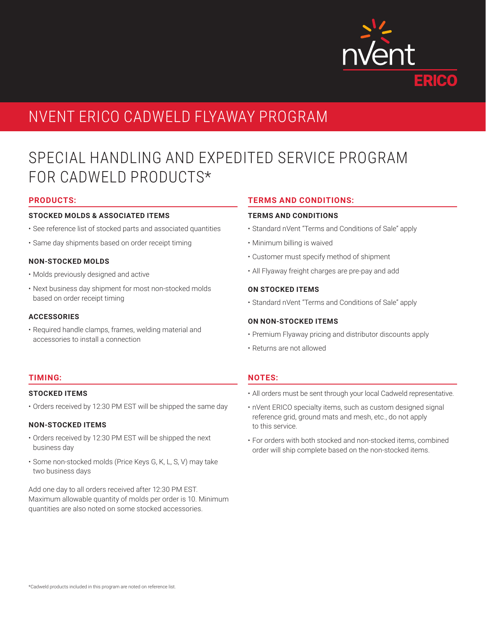

# NVENT ERICO CADWELD FLYAWAY PROGRAM

# SPECIAL HANDLING AND EXPEDITED SERVICE PROGRAM FOR CADWELD PRODUCTS\*

## **PRODUCTS:**

#### **STOCKED MOLDS & ASSOCIATED ITEMS**

- See reference list of stocked parts and associated quantities
- Same day shipments based on order receipt timing

### **NON-STOCKED MOLDS**

- Molds previously designed and active
- Next business day shipment for most non-stocked molds based on order receipt timing

## **ACCESSORIES**

• Required handle clamps, frames, welding material and accessories to install a connection

## **TERMS AND CONDITIONS:**

### **TERMS AND CONDITIONS**

- Standard nVent "Terms and Conditions of Sale" apply
- Minimum billing is waived
- Customer must specify method of shipment
- All Flyaway freight charges are pre-pay and add

### **ON STOCKED ITEMS**

• Standard nVent "Terms and Conditions of Sale" apply

#### **ON NON-STOCKED ITEMS**

- Premium Flyaway pricing and distributor discounts apply
- Returns are not allowed

# **NOTES:**

- All orders must be sent through your local Cadweld representative.
- nVent ERICO specialty items, such as custom designed signal reference grid, ground mats and mesh, etc., do not apply to this service.
- For orders with both stocked and non-stocked items, combined order will ship complete based on the non-stocked items.

# **TIMING:**

#### **STOCKED ITEMS**

• Orders received by 12:30 PM EST will be shipped the same day

# **NON-STOCKED ITEMS**

- Orders received by 12:30 PM EST will be shipped the next business day
- Some non-stocked molds (Price Keys G, K, L, S, V) may take two business days

Add one day to all orders received after 12:30 PM EST. Maximum allowable quantity of molds per order is 10. Minimum quantities are also noted on some stocked accessories.